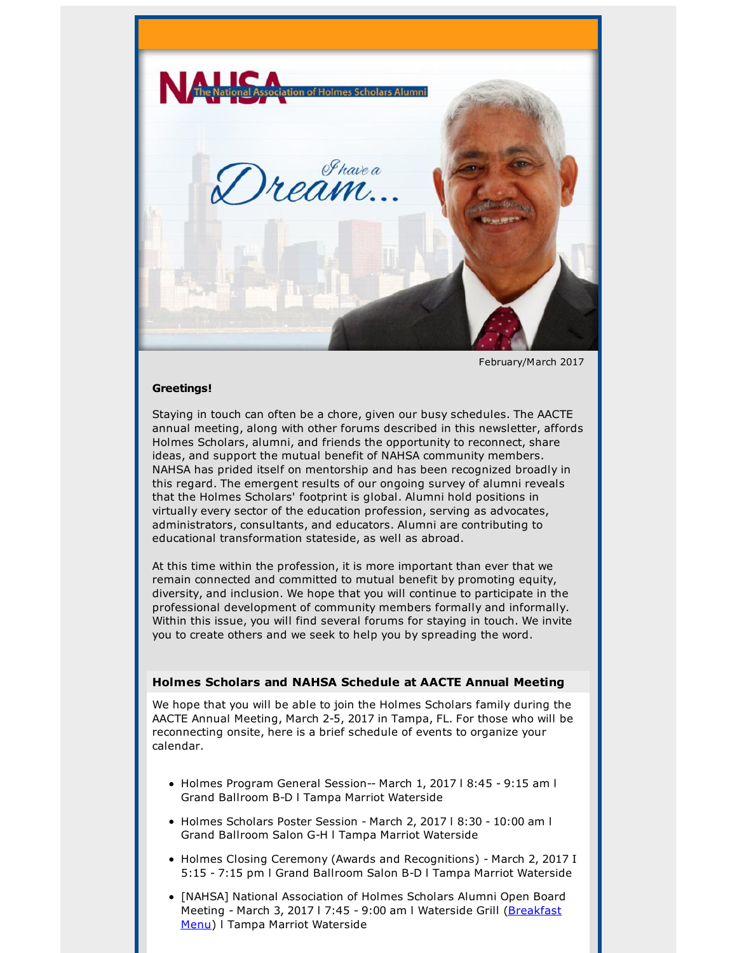

February/March 2017

#### **Greetings!**

Staying in touch can often be a chore, given our busy schedules. The AACTE annual meeting, along with other forums described in this newsletter, affords Holmes Scholars, alumni, and friends the opportunity to reconnect, share ideas, and support the mutual benefit of NAHSA community members. NAHSA has prided itself on mentorship and has been recognized broadly in this regard. The emergent results of our ongoing survey of alumni reveals that the Holmes Scholars' footprint is global. Alumni hold positions in virtually every sector of the education profession, serving as advocates, administrators, consultants, and educators. Alumni are contributing to educational transformation stateside, as well as abroad.

At this time within the profession, it is more important than ever that we remain connected and committed to mutual benefit by promoting equity, diversity, and inclusion. We hope that you will continue to participate in the professional development of community members formally and informally. Within this issue, you will find several forums for staying in touch. We invite you to create others and we seek to help you by spreading the word.

## **Holmes Scholars and NAHSA Schedule at AACTE Annual Meeting**

We hope that you will be able to join the Holmes Scholars family during the AACTE Annual Meeting, March 2-5, 2017 in Tampa, FL. For those who will be reconnecting onsite, here is a brief schedule of events to organize your calendar.

- Holmes Program General Session-- March 1, 2017 | 8:45 9:15 am l Grand Ballroom B-D l Tampa Marriot Waterside
- Holmes Scholars Poster Session March 2, 2017 l 8:30 10:00 am l Grand Ballroom Salon G-H l Tampa Marriot Waterside
- Holmes Closing Ceremony (Awards and Recognitions) March 2, 2017 I 5:15 - 7:15 pm l Grand Ballroom Salon B-D l Tampa Marriot Waterside
- [NAHSA] National Association of Holmes Scholars Alumni Open Board Meeting - March 3, 2017 l 7:45 - 9:00 am l Waterside Grill (Breakfast Menu) l Tampa Marriot Waterside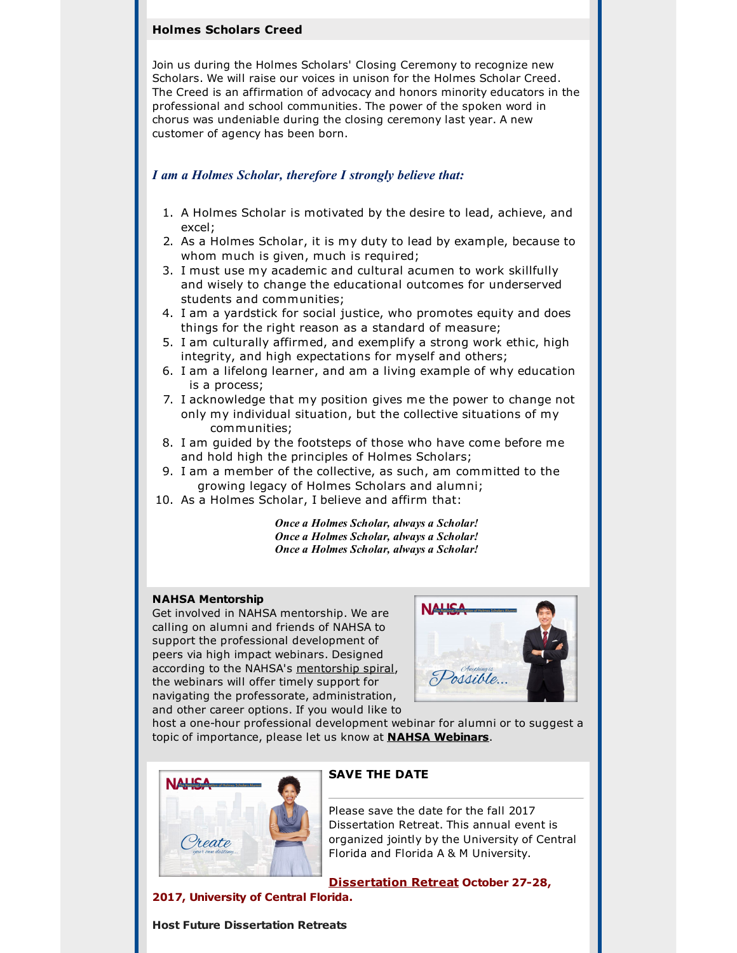# **Holmes Scholars Creed**

Join us during the Holmes Scholars' Closing Ceremony to recognize new Scholars. We will raise our voices in unison for the Holmes Scholar Creed. The Creed is an affirmation of advocacy and honors minority educators in the professional and school communities. The power of the spoken word in chorus was undeniable during the closing ceremony last year. A new customer of agency has been born.

## *I am a Holmes Scholar, therefore I strongly believe that:*

- 1. A Holmes Scholar is motivated by the desire to lead, achieve, and excel;
- 2. As a Holmes Scholar, it is my duty to lead by example, because to whom much is given, much is required;
- 3. I must use my academic and cultural acumen to work skillfully and wisely to change the educational outcomes for underserved students and communities;
- 4. I am a yardstick for social justice, who promotes equity and does things for the right reason as a standard of measure;
- 5. I am culturally affirmed, and exemplify a strong work ethic, high integrity, and high expectations for myself and others;
- 6. I am a lifelong learner, and am a living example of why education is a process;
- 7. I acknowledge that my position gives me the power to change not only my individual situation, but the collective situations of my communities;
- 8. I am guided by the footsteps of those who have come before me and hold high the principles of Holmes Scholars;
- 9. I am a member of the collective, as such, am committed to the growing legacy of Holmes Scholars and alumni;
- 10. As a Holmes Scholar, I believe and affirm that:

*Once a Holmes Scholar, always a Scholar! Once a Holmes Scholar, always a Scholar! Once a Holmes Scholar, always a Scholar!*

#### **NAHSA Mentorship**

Get involved in NAHSA mentorship. We are calling on alumni and friends of NAHSA to support the professional development of peers via high impact webinars. Designed according to the NAHSA's mentorship spiral, the webinars will offer timely support for navigating the professorate, administration, and other career options. If you would like to



host a one-hour professional development webinar for alumni or to suggest a topic of importance, please let us know at **NAHSA Webinars**.



# **SAVE THE DATE**

Please save the date for the fall 2017 Dissertation Retreat. This annual event is organized jointly by the University of Central Florida and Florida A & M University.

**Dissertation Retreat October 27-28,**

**2017, University of Central Florida.**

**Host Future Dissertation Retreats**